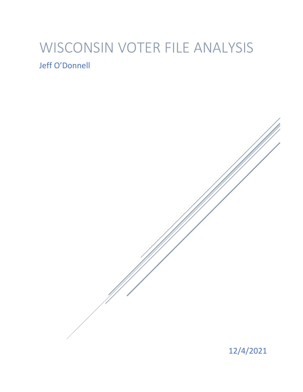# WISCONSIN VOTER FILE ANALYSIS Jeff O'Donnell

12/4/2021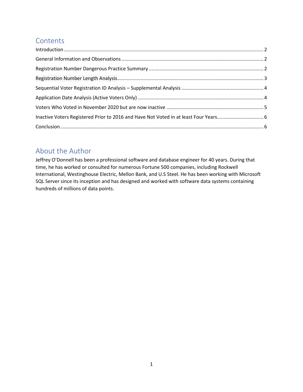# **Contents**

| $\label{eq:1} \mbox{Introduction} \,\, \ldots \,\, \ldots \,\, \ldots \,\, \ldots \,\, \ldots \,\, \ldots \,\, \ldots \,\, \ldots \,\, \ldots \,\, \ldots \,\, \ldots \,\, \ldots \,\, \ldots \,\, \ldots \,\, \ldots \,\, \ldots \,\, \ldots \,\, \ldots \,\, \ldots \,\, \ldots \,\, \ldots \,\, \ldots \,\, \ldots \,\, \ldots \,\, \ldots \,\, \ldots \,\, \ldots \,\, \ldots \,\, \ldots \,\, \ldots \,\, \ldots \,\, \ldots \,\, \ldots \,\, \ldots \,\,$ |
|-----------------------------------------------------------------------------------------------------------------------------------------------------------------------------------------------------------------------------------------------------------------------------------------------------------------------------------------------------------------------------------------------------------------------------------------------------------------|
|                                                                                                                                                                                                                                                                                                                                                                                                                                                                 |
|                                                                                                                                                                                                                                                                                                                                                                                                                                                                 |
|                                                                                                                                                                                                                                                                                                                                                                                                                                                                 |
|                                                                                                                                                                                                                                                                                                                                                                                                                                                                 |
|                                                                                                                                                                                                                                                                                                                                                                                                                                                                 |
|                                                                                                                                                                                                                                                                                                                                                                                                                                                                 |
|                                                                                                                                                                                                                                                                                                                                                                                                                                                                 |
|                                                                                                                                                                                                                                                                                                                                                                                                                                                                 |
|                                                                                                                                                                                                                                                                                                                                                                                                                                                                 |

# About the Author

Jeffrey O'Donnell has been a professional software and database engineer for 40 years. During that time, he has worked or consulted for numerous Fortune 500 companies, including Rockwell International, Westinghouse Electric, Mellon Bank, and U.S Steel. He has been working with Microsoft SQL Server since its inception and has designed and worked with software data systems containing hundreds of millions of data points.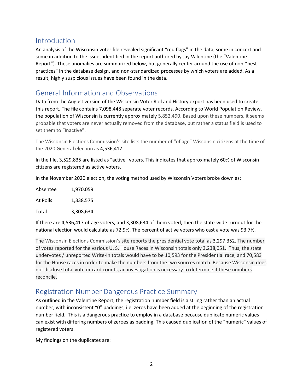## <span id="page-2-0"></span>Introduction

An analysis of the Wisconsin voter file revealed significant "red flags" in the data, some in concert and some in addition to the issues identified in the report authored by Jay Valentine (the "Valentine Report"). These anomalies are summarized below, but generally center around the use of non-"best practices" in the database design, and non-standardized processes by which voters are added. As a result, highly suspicious issues have been found in the data.

## <span id="page-2-1"></span>General Information and Observations

Data from the August version of the Wisconsin Voter Roll and History export has been used to create this report. The file contains 7,098,448 separate voter records. According to World Population Review, the population of Wisconsin is currently approximately 5,852,490. Based upon these numbers, it seems probable that voters are never actually removed from the database, but rather a status field is used to set them to "Inactive".

The Wisconsin Elections Commission's site lists the number of "of age" Wisconsin citizens at the time of the 2020 General election as 4,536,417.

In the file, 3,529,835 are listed as "active" voters. This indicates that approximately 60% of Wisconsin citizens are registered as active voters.

In the November 2020 election, the voting method used by Wisconsin Voters broke down as:

| Absentee | 1.970.059 |
|----------|-----------|
| At Polls | 1,338,575 |
| Total    | 3,308,634 |

If there are 4,536,417 of-age voters, and 3,308,634 of them voted, then the state-wide turnout for the national election would calculate as 72.9%. The percent of active voters who cast a vote was 93.7%.

The Wisconsin Elections Commission's site reports the presidential vote total as 3,297,352. The number of votes reported for the various U. S. House Races in Wisconsin totals only 3,238,051. Thus, the state undervotes / unreported Write-In totals would have to be 10,593 for the Presidential race, and 70,583 for the House races in order to make the numbers from the two sources match. Because Wisconsin does not disclose total vote or card counts, an investigation is necessary to determine if these numbers reconcile.

## <span id="page-2-2"></span>Registration Number Dangerous Practice Summary

As outlined in the Valentine Report, the registration number field is a string rather than an actual number, with inconsistent "0" paddings, i.e. zeros have been added at the beginning of the registration number field. This is a dangerous practice to employ in a database because duplicate numeric values can exist with differing numbers of zeroes as padding. This caused duplication of the "numeric" values of registered voters.

My findings on the duplicates are: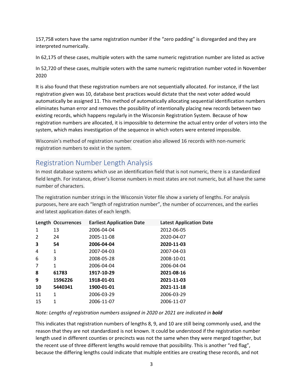157,758 voters have the same registration number if the "zero padding" is disregarded and they are interpreted numerically.

In 62,175 of these cases, multiple voters with the same numeric registration number are listed as active

In 52,720 of these cases, multiple voters with the same numeric registration number voted in November 2020

It is also found that these registration numbers are not sequentially allocated. For instance, if the last registration given was 10, database best practices would dictate that the next voter added would automatically be assigned 11. This method of automatically allocating sequential identification numbers eliminates human error and removes the possibility of intentionally placing new records between two existing records, which happens regularly in the Wisconsin Registration System. Because of how registration numbers are allocated, it is impossible to determine the actual entry order of voters into the system, which makes investigation of the sequence in which voters were entered impossible.

Wisconsin's method of registration number creation also allowed 16 records with non-numeric registration numbers to exist in the system.

# <span id="page-3-0"></span>Registration Number Length Analysis

In most database systems which use an identification field that is not numeric, there is a standardized field length. For instance, driver's license numbers in most states are not numeric, but all have the same number of characters.

The registration number strings in the Wisconsin Voter file show a variety of lengths. For analysis purposes, here are each "length of registration number", the number of occurrences, and the earlies and latest application dates of each length.

|                | Length Occurrences | <b>Earliest Application Date</b> | <b>Latest Application Date</b> |
|----------------|--------------------|----------------------------------|--------------------------------|
| $\mathbf{1}$   | 13                 | 2006-04-04                       | 2012-06-05                     |
| $\overline{2}$ | 24                 | 2005-11-08                       | 2020-04-07                     |
| 3              | 54                 | 2006-04-04                       | 2020-11-03                     |
| 4              | 1                  | 2007-04-03                       | 2007-04-03                     |
| 6              | 3                  | 2008-05-28                       | 2008-10-01                     |
| 7              | $\mathbf{1}$       | 2006-04-04                       | 2006-04-04                     |
| 8              | 61783              | 1917-10-29                       | 2021-08-16                     |
| 9              | 1596226            | 1918-01-01                       | 2021-11-03                     |
| 10             | 5440341            | 1900-01-01                       | 2021-11-18                     |
| 11             | 1                  | 2006-03-29                       | 2006-03-29                     |
| 15             | 1                  | 2006-11-07                       | 2006-11-07                     |
|                |                    |                                  |                                |

#### *Note: Lengths of registration numbers assigned in 2020 or 2021 are indicated in bold*

This indicates that registration numbers of lengths 8, 9, and 10 are still being commonly used, and the reason that they are not standardized is not known. It could be understood if the registration number length used in different counties or precincts was not the same when they were merged together, but the recent use of three different lengths would remove that possibility. This is another "red flag", because the differing lengths could indicate that multiple entities are creating these records, and not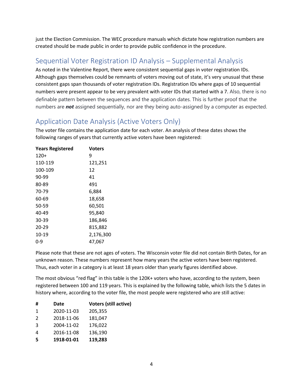just the Election Commission. The WEC procedure manuals which dictate how registration numbers are created should be made public in order to provide public confidence in the procedure.

# <span id="page-4-0"></span>Sequential Voter Registration ID Analysis – Supplemental Analysis

As noted in the Valentine Report, there were consistent sequential gaps in voter registration IDs. Although gaps themselves could be remnants of voters moving out of state, it's very unusual that these consistent gaps span thousands of voter registration IDs. Registration IDs where gaps of 10 sequential numbers were present appear to be very prevalent with voter IDs that started with a 7. Also, there is no definable pattern between the sequences and the application dates. This is further proof that the numbers are *not* assigned sequentially, nor are they being auto-assigned by a computer as expected.

# <span id="page-4-1"></span>Application Date Analysis (Active Voters Only)

The voter file contains the application date for each voter. An analysis of these dates shows the following ranges of years that currently active voters have been registered:

| Voters    |
|-----------|
| 9         |
| 121,251   |
| 12        |
| 41        |
| 491       |
| 6,884     |
| 18,658    |
| 60,501    |
| 95,840    |
| 186,846   |
| 815,882   |
| 2,176,300 |
| 47,067    |
|           |

Please note that these are not ages of voters. The Wisconsin voter file did not contain Birth Dates, for an unknown reason. These numbers represent how many years the active voters have been registered. Thus, each voter in a category is at least 18 years older than yearly figures identified above.

The most obvious "red flag" in this table is the 120K+ voters who have, according to the system, been registered between 100 and 119 years. This is explained by the following table, which lists the 5 dates in history where, according to the voter file, the most people were registered who are still active:

| #             | Date       | <b>Voters (still active)</b> |
|---------------|------------|------------------------------|
| 1             | 2020-11-03 | 205,355                      |
| $\mathcal{L}$ | 2018-11-06 | 181,047                      |
| 3             | 2004-11-02 | 176,022                      |
| 4             | 2016-11-08 | 136,190                      |
| 5             | 1918-01-01 | 119,283                      |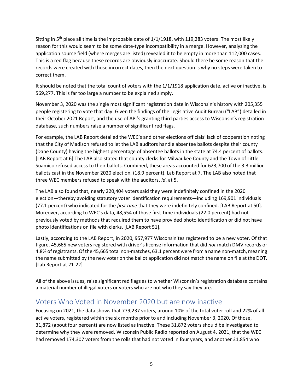Sitting in  $5<sup>th</sup>$  place all time is the improbable date of  $1/1/1918$ , with 119,283 voters. The most likely reason for this would seem to be some date-type incompatibility in a merge. However, analyzing the application source field (where merges are listed) revealed it to be empty in more than 112,000 cases. This is a red flag because these records are obviously inaccurate. Should there be some reason that the records were created with those incorrect dates, then the next question is why no steps were taken to correct them.

It should be noted that the total count of voters with the 1/1/1918 application date, active or inactive, is 569,277. This is far too large a number to be explained simply.

November 3, 2020 was the single most significant registration date in Wisconsin's history with 205,355 people registering to vote that day. Given the findings of the Legislative Audit Bureau ("LAB") detailed in their October 2021 Report, and the use of API's granting third parties access to Wisconsin's registration database, such numbers raise a number of significant red flags.

For example, the LAB Report detailed the WEC's and other elections officials' lack of cooperation noting that the City of Madison refused to let the LAB auditors handle absentee ballots despite their county (Dane County) having the highest percentage of absentee ballots in the state at 74.4 percent of ballots. [LAB Report at 6] The LAB also stated that county clerks for Milwaukee County and the Town of Little Suamico refused access to their ballots. Combined, these areas accounted for 623,700 of the 3.3 million ballots cast in the November 2020 election. (18.9 percent). Lab Report at 7. The LAB also noted that three WEC members refused to speak with the auditors. *Id*. at 5.

The LAB also found that, nearly 220,404 voters said they were indefinitely confined in the 2020 election—thereby avoiding statutory voter identification requirements—including 169,901 individuals (77.1 percent) who indicated for the *first time* that they were indefinitely confined. [LAB Report at 50]. Moreover, according to WEC's data, 48,554 of those first-time individuals (22.0 percent) had not previously voted by methods that required them to have provided photo identification or did not have photo identifications on file with clerks. [LAB Report 51].

Lastly, according to the LAB Report, in 2020, 957,977 Wisconsinites registered to be a new voter. Of that figure, 45,665 new voters registered with driver's license information that did *not* match DMV records or 4.8% of registrants. Of the 45,665 total non-matches, 63.1 percent were from a name non-match, meaning the name submitted by the new voter on the ballot application did not match the name on file at the DOT. [Lab Report at 21-22]

All of the above issues, raise significant red flags as to whether Wisconsin's registration database contains a material number of illegal voters or voters who are not who they say they are.

### <span id="page-5-0"></span>Voters Who Voted in November 2020 but are now inactive

Focusing on 2021, the data shows that 779,237 voters, around 10% of the total voter roll and 22% of all active voters, registered within the six months prior to and including November 3, 2020. Of those, 31,872 (about four percent) are now listed as inactive. These 31,872 voters should be investigated to determine why they were removed. Wisconsin Public Radio reported on August 4, 2021, that the WEC had removed 174,307 voters from the rolls that had not voted in four years, and another 31,854 who